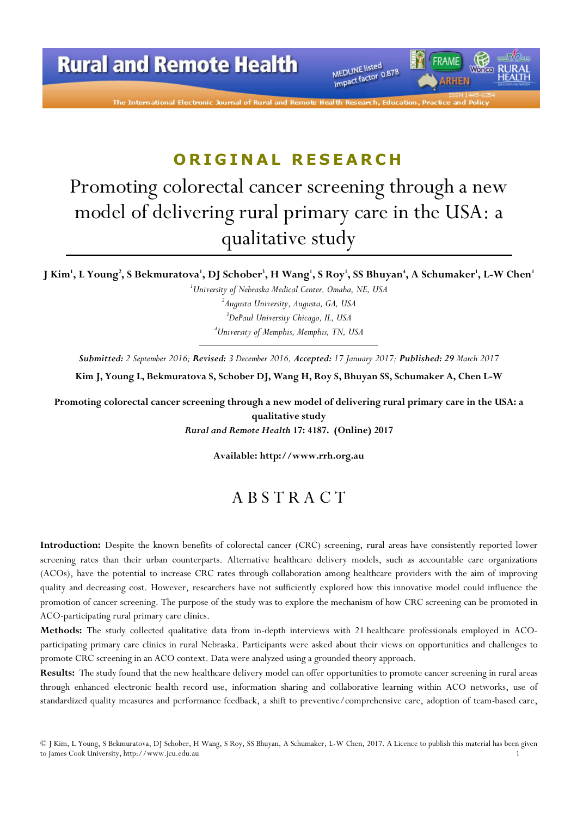

The International Electronic Journal of Rural and

# ORIGINAL RESEARCH

# Promoting colorectal cancer screening through a new model of delivering rural primary care in the USA: a qualitative study

J Kim', L Young<sup>2</sup>, S Bekmuratova', DJ Schober<sup>3</sup>, H Wang', S Roy', SS Bhuyan<sup>4</sup>, A Schumaker<sup>1</sup>, L-W Chen<sup>1</sup>

<sup>1</sup>University of Nebraska Medical Center, Omaha, NE, USA  $^{2}$ Augusta University, Augusta, GA, USA  $3$ DePaul University Chicago, IL, USA <sup>4</sup>University of Memphis, Memphis, TN, USA

Submitted: 2 September 2016; Revised: 3 December 2016, Accepted: 17 January 2017; Published: 29 March 2017

Kim J, Young L, Bekmuratova S, Schober DJ, Wang H, Roy S, Bhuyan SS, Schumaker A, Chen L-W

Promoting colorectal cancer screening through a new model of delivering rural primary care in the USA: a qualitative study Rural and Remote Health 17: 4187. (Online) 2017

Available: http://www.rrh.org.au

# A B S T R A C T

Introduction: Despite the known benefits of colorectal cancer (CRC) screening, rural areas have consistently reported lower screening rates than their urban counterparts. Alternative healthcare delivery models, such as accountable care organizations (ACOs), have the potential to increase CRC rates through collaboration among healthcare providers with the aim of improving quality and decreasing cost. However, researchers have not sufficiently explored how this innovative model could influence the promotion of cancer screening. The purpose of the study was to explore the mechanism of how CRC screening can be promoted in ACO-participating rural primary care clinics.

Methods: The study collected qualitative data from in-depth interviews with 21 healthcare professionals employed in ACOparticipating primary care clinics in rural Nebraska. Participants were asked about their views on opportunities and challenges to promote CRC screening in an ACO context. Data were analyzed using a grounded theory approach.

Results: The study found that the new healthcare delivery model can offer opportunities to promote cancer screening in rural areas through enhanced electronic health record use, information sharing and collaborative learning within ACO networks, use of standardized quality measures and performance feedback, a shift to preventive/comprehensive care, adoption of team-based care,

<sup>©</sup> J Kim, L Young, S Bekmuratova, DJ Schober, H Wang, S Roy, SS Bhuyan, A Schumaker, L-W Chen, 2017. A Licence to publish this material has been given to James Cook University, http://www.jcu.edu.au 1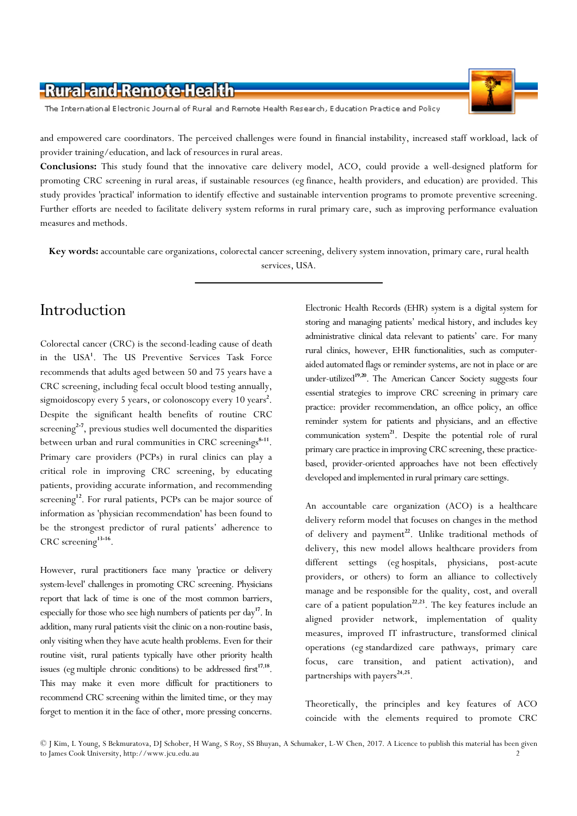The International Electronic Journal of Rural and Remote Health Research, Education Practice and Policy



and empowered care coordinators. The perceived challenges were found in financial instability, increased staff workload, lack of provider training/education, and lack of resources in rural areas.

Conclusions: This study found that the innovative care delivery model, ACO, could provide a well-designed platform for promoting CRC screening in rural areas, if sustainable resources (eg finance, health providers, and education) are provided. This study provides 'practical' information to identify effective and sustainable intervention programs to promote preventive screening. Further efforts are needed to facilitate delivery system reforms in rural primary care, such as improving performance evaluation measures and methods.

Key words: accountable care organizations, colorectal cancer screening, delivery system innovation, primary care, rural health services, USA.

### Introduction

Colorectal cancer (CRC) is the second-leading cause of death in the USA<sup>1</sup>. The US Preventive Services Task Force recommends that adults aged between 50 and 75 years have a CRC screening, including fecal occult blood testing annually, sigmoidoscopy every 5 years, or colonoscopy every 10 years<sup>2</sup>. Despite the significant health benefits of routine CRC screening $2-7$ , previous studies well documented the disparities between urban and rural communities in CRC screenings<sup>8-11</sup>. Primary care providers (PCPs) in rural clinics can play a critical role in improving CRC screening, by educating patients, providing accurate information, and recommending screening<sup>12</sup>. For rural patients, PCPs can be major source of information as 'physician recommendation' has been found to be the strongest predictor of rural patients' adherence to CRC screening<sup>13-16</sup>.

However, rural practitioners face many 'practice or delivery system-level' challenges in promoting CRC screening. Physicians report that lack of time is one of the most common barriers, especially for those who see high numbers of patients per  $day<sup>17</sup>$ . In addition, many rural patients visit the clinic on a non-routine basis, only visiting when they have acute health problems. Even for their routine visit, rural patients typically have other priority health issues (eg multiple chronic conditions) to be addressed first $17,18$ . This may make it even more difficult for practitioners to recommend CRC screening within the limited time, or they may forget to mention it in the face of other, more pressing concerns.

Electronic Health Records (EHR) system is a digital system for storing and managing patients' medical history, and includes key administrative clinical data relevant to patients' care. For many rural clinics, however, EHR functionalities, such as computeraided automated flags or reminder systems, are not in place or are under-utilized<sup>19,20</sup>. The American Cancer Society suggests four essential strategies to improve CRC screening in primary care practice: provider recommendation, an office policy, an office reminder system for patients and physicians, and an effective communication system<sup>21</sup>. Despite the potential role of rural primary care practice in improving CRC screening, these practicebased, provider-oriented approaches have not been effectively developed and implemented in rural primary care settings.

An accountable care organization (ACO) is a healthcare delivery reform model that focuses on changes in the method of delivery and payment<sup>22</sup>. Unlike traditional methods of delivery, this new model allows healthcare providers from different settings (eg hospitals, physicians, post-acute providers, or others) to form an alliance to collectively manage and be responsible for the quality, cost, and overall care of a patient population<sup>22,23</sup>. The key features include an aligned provider network, implementation of quality measures, improved IT infrastructure, transformed clinical operations (eg standardized care pathways, primary care focus, care transition, and patient activation), and partnerships with payers $24.25$ .

Theoretically, the principles and key features of ACO coincide with the elements required to promote CRC

<sup>©</sup> J Kim, L Young, S Bekmuratova, DJ Schober, H Wang, S Roy, SS Bhuyan, A Schumaker, L-W Chen, 2017. A Licence to publish this material has been given to James Cook University, http://www.jcu.edu.au 2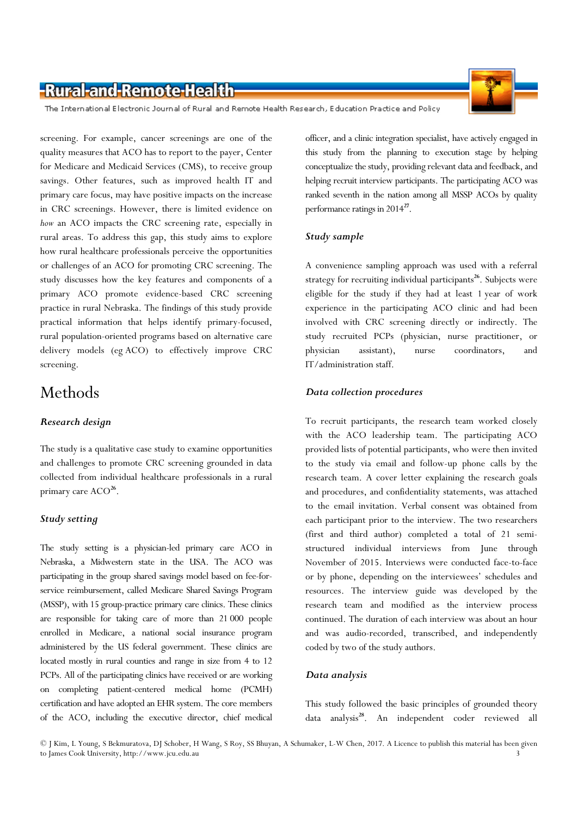The International Electronic Journal of Rural and Remote Health Research, Education Practice and Policy

screening. For example, cancer screenings are one of the quality measures that ACO has to report to the payer, Center for Medicare and Medicaid Services (CMS), to receive group savings. Other features, such as improved health IT and primary care focus, may have positive impacts on the increase in CRC screenings. However, there is limited evidence on how an ACO impacts the CRC screening rate, especially in rural areas. To address this gap, this study aims to explore how rural healthcare professionals perceive the opportunities or challenges of an ACO for promoting CRC screening. The study discusses how the key features and components of a primary ACO promote evidence-based CRC screening practice in rural Nebraska. The findings of this study provide practical information that helps identify primary-focused, rural population-oriented programs based on alternative care delivery models (eg ACO) to effectively improve CRC screening.

### Methods

#### Research design

The study is a qualitative case study to examine opportunities and challenges to promote CRC screening grounded in data collected from individual healthcare professionals in a rural primary care ACO<sup>26</sup>.

#### Study setting

The study setting is a physician-led primary care ACO in Nebraska, a Midwestern state in the USA. The ACO was participating in the group shared savings model based on fee-forservice reimbursement, called Medicare Shared Savings Program (MSSP), with 15 group-practice primary care clinics. These clinics are responsible for taking care of more than 21 000 people enrolled in Medicare, a national social insurance program administered by the US federal government. These clinics are located mostly in rural counties and range in size from 4 to 12 PCPs. All of the participating clinics have received or are working on completing patient-centered medical home (PCMH) certification and have adopted an EHR system. The core members of the ACO, including the executive director, chief medical



officer, and a clinic integration specialist, have actively engaged in this study from the planning to execution stage by helping conceptualize the study, providing relevant data and feedback, and helping recruit interview participants. The participating ACO was ranked seventh in the nation among all MSSP ACOs by quality performance ratings in 2014<sup>27</sup>.

#### Study sample

A convenience sampling approach was used with a referral strategy for recruiting individual participants<sup>26</sup>. Subjects were eligible for the study if they had at least 1 year of work experience in the participating ACO clinic and had been involved with CRC screening directly or indirectly. The study recruited PCPs (physician, nurse practitioner, or physician assistant), nurse coordinators, and IT/administration staff.

#### Data collection procedures

To recruit participants, the research team worked closely with the ACO leadership team. The participating ACO provided lists of potential participants, who were then invited to the study via email and follow-up phone calls by the research team. A cover letter explaining the research goals and procedures, and confidentiality statements, was attached to the email invitation. Verbal consent was obtained from each participant prior to the interview. The two researchers (first and third author) completed a total of 21 semistructured individual interviews from June through November of 2015. Interviews were conducted face-to-face or by phone, depending on the interviewees' schedules and resources. The interview guide was developed by the research team and modified as the interview process continued. The duration of each interview was about an hour and was audio-recorded, transcribed, and independently coded by two of the study authors.

#### Data analysis

This study followed the basic principles of grounded theory data analysis<sup>28</sup>. An independent coder reviewed all

<sup>©</sup> J Kim, L Young, S Bekmuratova, DJ Schober, H Wang, S Roy, SS Bhuyan, A Schumaker, L-W Chen, 2017. A Licence to publish this material has been given to James Cook University, http://www.jcu.edu.au 3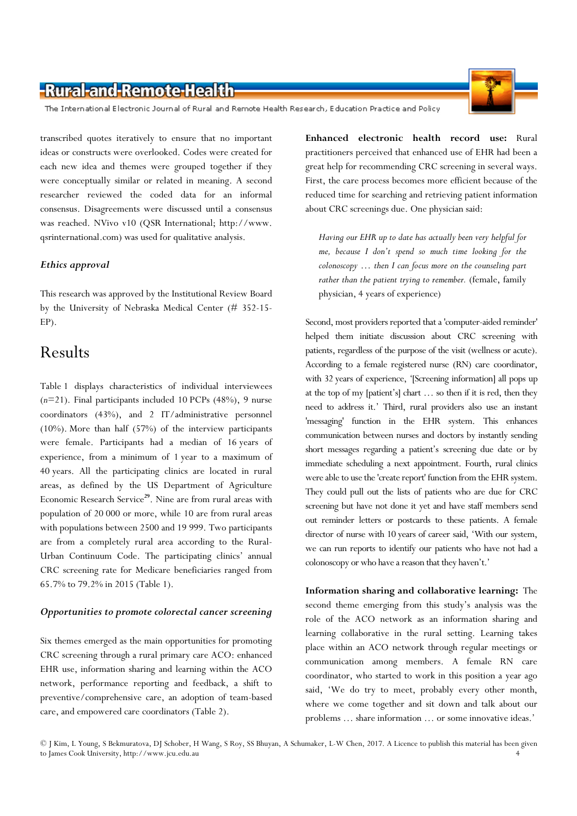The International Electronic Journal of Rural and Remote Health Research, Education Practice and Policy

transcribed quotes iteratively to ensure that no important ideas or constructs were overlooked. Codes were created for each new idea and themes were grouped together if they were conceptually similar or related in meaning. A second researcher reviewed the coded data for an informal consensus. Disagreements were discussed until a consensus was reached. NVivo v10 (QSR International; http://www. qsrinternational.com) was used for qualitative analysis.

#### Ethics approval

This research was approved by the Institutional Review Board by the University of Nebraska Medical Center (# 352-15- EP).

### Results

Table 1 displays characteristics of individual interviewees (n=21). Final participants included 10 PCPs (48%), 9 nurse coordinators (43%), and 2 IT/administrative personnel (10%). More than half (57%) of the interview participants were female. Participants had a median of 16 years of experience, from a minimum of 1 year to a maximum of 40 years. All the participating clinics are located in rural areas, as defined by the US Department of Agriculture Economic Research Service<sup>29</sup>. Nine are from rural areas with population of 20 000 or more, while 10 are from rural areas with populations between 2500 and 19 999. Two participants are from a completely rural area according to the Rural-Urban Continuum Code. The participating clinics' annual CRC screening rate for Medicare beneficiaries ranged from 65.7% to 79.2% in 2015 (Table 1).

#### Opportunities to promote colorectal cancer screening

Six themes emerged as the main opportunities for promoting CRC screening through a rural primary care ACO: enhanced EHR use, information sharing and learning within the ACO network, performance reporting and feedback, a shift to preventive/comprehensive care, an adoption of team-based care, and empowered care coordinators (Table 2).

Enhanced electronic health record use: Rural practitioners perceived that enhanced use of EHR had been a great help for recommending CRC screening in several ways. First, the care process becomes more efficient because of the reduced time for searching and retrieving patient information about CRC screenings due. One physician said:

Having our EHR up to date has actually been very helpful for me, because I don't spend so much time looking for the colonoscopy … then I can focus more on the counseling part rather than the patient trying to remember. (female, family physician, 4 years of experience)

Second, most providers reported that a 'computer-aided reminder' helped them initiate discussion about CRC screening with patients, regardless of the purpose of the visit (wellness or acute). According to a female registered nurse (RN) care coordinator, with 32 years of experience, '[Screening information] all pops up at the top of my [patient's] chart … so then if it is red, then they need to address it.' Third, rural providers also use an instant 'messaging' function in the EHR system. This enhances communication between nurses and doctors by instantly sending short messages regarding a patient's screening due date or by immediate scheduling a next appointment. Fourth, rural clinics were able to use the 'create report' function from the EHR system. They could pull out the lists of patients who are due for CRC screening but have not done it yet and have staff members send out reminder letters or postcards to these patients. A female director of nurse with 10 years of career said, 'With our system, we can run reports to identify our patients who have not had a colonoscopy or who have a reason that they haven't.'

Information sharing and collaborative learning: The second theme emerging from this study's analysis was the role of the ACO network as an information sharing and learning collaborative in the rural setting. Learning takes place within an ACO network through regular meetings or communication among members. A female RN care coordinator, who started to work in this position a year ago said, 'We do try to meet, probably every other month, where we come together and sit down and talk about our problems … share information … or some innovative ideas.'

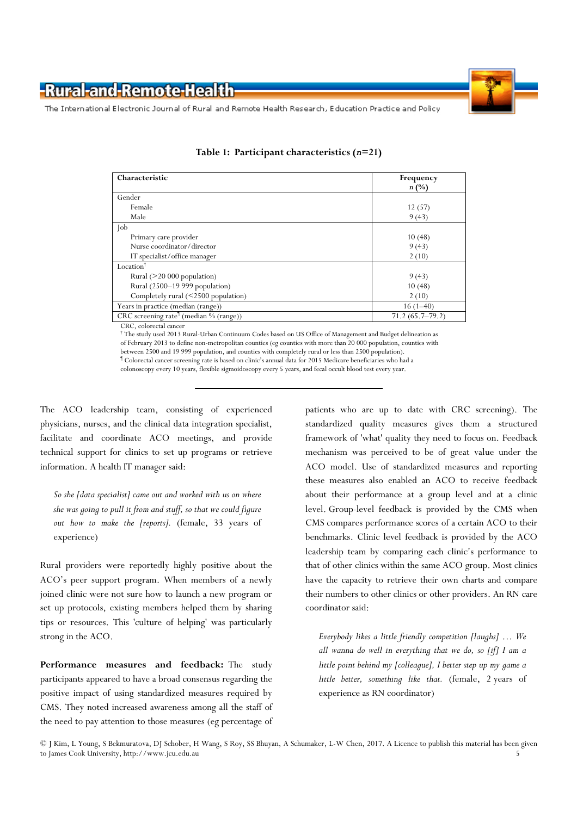

The International Electronic Journal of Rural and Remote Health Research, Education Practice and Policy

| Characteristic                                                             | Frequency           |
|----------------------------------------------------------------------------|---------------------|
|                                                                            | $n(\%)$             |
| Gender                                                                     |                     |
| Female                                                                     | 12(57)              |
| Male                                                                       | 9(43)               |
| $\int$ ob                                                                  |                     |
| Primary care provider                                                      | 10(48)              |
| Nurse coordinator/director                                                 | 9(43)               |
| IT specialist/office manager                                               | 2(10)               |
| Location                                                                   |                     |
| Rural $($ >20 000 population)                                              | 9(43)               |
| Rural (2500-19 999 population)                                             | 10(48)              |
| Completely rural $(<2500$ population)                                      | 2(10)               |
| Years in practice (median (range))                                         | $16(1-40)$          |
| $CRC$ screening rate <sup><math>\mathsf{I}</math></sup> (median % (range)) | $71.2(65.7 - 79.2)$ |

|  |  | Table 1: Participant characteristics (n=21) |  |  |
|--|--|---------------------------------------------|--|--|
|--|--|---------------------------------------------|--|--|

CRC, colorectal cancer † The study used 2013 Rural-Urban Continuum Codes based on US Office of Management and Budget delineation as of February 2013 to define non-metropolitan counties (eg counties with more than 20 000 population, counties with between 2500 and 19 999 population, and counties with completely rural or less than 2500 population).

¶ Colorectal cancer screening rate is based on clinic's annual data for 2015 Medicare beneficiaries who had a colonoscopy every 10 years, flexible sigmoidoscopy every 5 years, and fecal occult blood test every year.

The ACO leadership team, consisting of experienced physicians, nurses, and the clinical data integration specialist, facilitate and coordinate ACO meetings, and provide technical support for clinics to set up programs or retrieve information. A health IT manager said:

So she [data specialist] came out and worked with us on where she was going to pull it from and stuff, so that we could figure out how to make the [reports]. (female, 33 years of experience)

Rural providers were reportedly highly positive about the ACO's peer support program. When members of a newly joined clinic were not sure how to launch a new program or set up protocols, existing members helped them by sharing tips or resources. This 'culture of helping' was particularly strong in the ACO.

Performance measures and feedback: The study participants appeared to have a broad consensus regarding the positive impact of using standardized measures required by CMS. They noted increased awareness among all the staff of the need to pay attention to those measures (eg percentage of patients who are up to date with CRC screening). The standardized quality measures gives them a structured framework of 'what' quality they need to focus on. Feedback mechanism was perceived to be of great value under the ACO model. Use of standardized measures and reporting these measures also enabled an ACO to receive feedback about their performance at a group level and at a clinic level. Group-level feedback is provided by the CMS when CMS compares performance scores of a certain ACO to their benchmarks. Clinic level feedback is provided by the ACO leadership team by comparing each clinic's performance to that of other clinics within the same ACO group. Most clinics have the capacity to retrieve their own charts and compare their numbers to other clinics or other providers. An RN care coordinator said:

Everybody likes a little friendly competition [laughs] … We all wanna do well in everything that we do, so [if] I am a little point behind my [colleague], I better step up my game a little better, something like that. (female, 2 years of experience as RN coordinator)

<sup>©</sup> J Kim, L Young, S Bekmuratova, DJ Schober, H Wang, S Roy, SS Bhuyan, A Schumaker, L-W Chen, 2017. A Licence to publish this material has been given to James Cook University, http://www.jcu.edu.au 5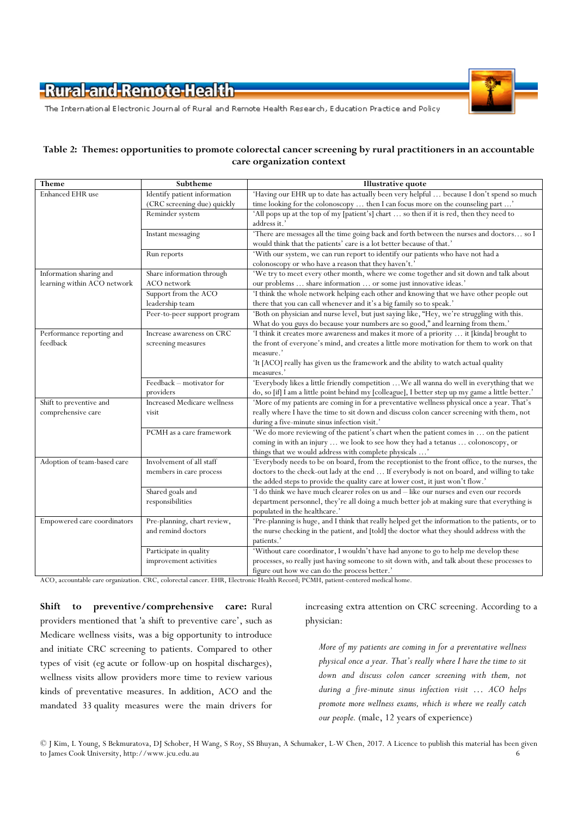

The International Electronic Journal of Rural and Remote Health Research, Education Practice and Policy

#### Table 2: Themes: opportunities to promote colorectal cancer screening by rural practitioners in an accountable care organization context

| Theme                       | Subtheme                           | <b>Illustrative quote</b>                                                                         |
|-----------------------------|------------------------------------|---------------------------------------------------------------------------------------------------|
| Enhanced EHR use            | Identify patient information       | 'Having our EHR up to date has actually been very helpful  because I don't spend so much          |
|                             | (CRC screening due) quickly        | time looking for the colonoscopy  then I can focus more on the counseling part '                  |
|                             | Reminder system                    | 'All pops up at the top of my [patient's] chart  so then if it is red, then they need to          |
|                             |                                    | address it.'                                                                                      |
|                             | Instant messaging                  | 'There are messages all the time going back and forth between the nurses and doctors so I         |
|                             |                                    | would think that the patients' care is a lot better because of that.'                             |
|                             | Run reports                        | 'With our system, we can run report to identify our patients who have not had a                   |
|                             |                                    | colonoscopy or who have a reason that they haven't.'                                              |
| Information sharing and     | Share information through          | 'We try to meet every other month, where we come together and sit down and talk about             |
| learning within ACO network | ACO network                        | our problems  share information  or some just innovative ideas.'                                  |
|                             | Support from the ACO               | 'I think the whole network helping each other and knowing that we have other people out           |
|                             | leadership team                    | there that you can call whenever and it's a big family so to speak.'                              |
|                             | Peer-to-peer support program       | 'Both on physician and nurse level, but just saying like, "Hey, we're struggling with this.       |
|                             |                                    | What do you guys do because your numbers are so good," and learning from them.'                   |
| Performance reporting and   | Increase awareness on CRC          | 'I think it creates more awareness and makes it more of a priority  it [kinda] brought to         |
| feedback                    | screening measures                 | the front of everyone's mind, and creates a little more motivation for them to work on that       |
|                             |                                    | measure.                                                                                          |
|                             |                                    | 'It [ACO] really has given us the framework and the ability to watch actual quality               |
|                             |                                    | measures.'                                                                                        |
|                             | Feedback - motivator for           | 'Everybody likes a little friendly competition  We all wanna do well in everything that we        |
|                             | providers                          | do, so [if] I am a little point behind my [colleague], I better step up my game a little better.' |
| Shift to preventive and     | <b>Increased Medicare wellness</b> | 'More of my patients are coming in for a preventative wellness physical once a year. That's       |
| comprehensive care          | visit                              | really where I have the time to sit down and discuss colon cancer screening with them, not        |
|                             |                                    | during a five-minute sinus infection visit.'                                                      |
|                             | PCMH as a care framework           | 'We do more reviewing of the patient's chart when the patient comes in  on the patient            |
|                             |                                    | coming in with an injury  we look to see how they had a tetanus  colonoscopy, or                  |
|                             |                                    | things that we would address with complete physicals '                                            |
| Adoption of team-based care | Involvement of all staff           | 'Everybody needs to be on board, from the receptionist to the front office, to the nurses, the    |
|                             | members in care process            | doctors to the check-out lady at the end  If everybody is not on board, and willing to take       |
|                             |                                    | the added steps to provide the quality care at lower cost, it just won't flow.'                   |
|                             | Shared goals and                   | 'I do think we have much clearer roles on us and - like our nurses and even our records           |
|                             | responsibilities                   | department personnel, they're all doing a much better job at making sure that everything is       |
|                             |                                    | populated in the healthcare.'                                                                     |
| Empowered care coordinators | Pre-planning, chart review,        | 'Pre-planning is huge, and I think that really helped get the information to the patients, or to  |
|                             | and remind doctors                 | the nurse checking in the patient, and [told] the doctor what they should address with the        |
|                             |                                    | patients.'                                                                                        |
|                             | Participate in quality             | 'Without care coordinator, I wouldn't have had anyone to go to help me develop these              |
|                             | improvement activities             | processes, so really just having someone to sit down with, and talk about these processes to      |
|                             |                                    | figure out how we can do the process better.'                                                     |

ACO, accountable care organization. CRC, colorectal cancer. EHR, Electronic Health Record; PCMH, patient-centered medical home.

Shift to preventive/comprehensive care: Rural providers mentioned that 'a shift to preventive care', such as Medicare wellness visits, was a big opportunity to introduce and initiate CRC screening to patients. Compared to other types of visit (eg acute or follow-up on hospital discharges), wellness visits allow providers more time to review various kinds of preventative measures. In addition, ACO and the mandated 33 quality measures were the main drivers for

increasing extra attention on CRC screening. According to a physician:

More of my patients are coming in for a preventative wellness physical once a year. That's really where I have the time to sit down and discuss colon cancer screening with them, not during a five-minute sinus infection visit … ACO helps promote more wellness exams, which is where we really catch our people. (male, 12 years of experience)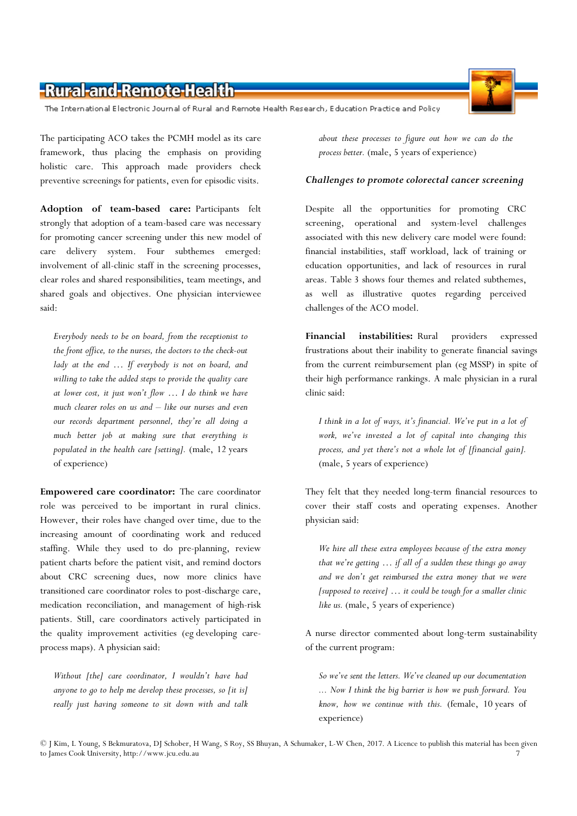The International Electronic Journal of Rural and Remote Health Research, Education Practice and Policy

The participating ACO takes the PCMH model as its care framework, thus placing the emphasis on providing holistic care. This approach made providers check preventive screenings for patients, even for episodic visits.

Adoption of team-based care: Participants felt strongly that adoption of a team-based care was necessary for promoting cancer screening under this new model of care delivery system. Four subthemes emerged: involvement of all-clinic staff in the screening processes, clear roles and shared responsibilities, team meetings, and shared goals and objectives. One physician interviewee said:

Everybody needs to be on board, from the receptionist to the front office, to the nurses, the doctors to the check-out lady at the end ... If everybody is not on board, and willing to take the added steps to provide the quality care at lower cost, it just won't flow … I do think we have much clearer roles on us and – like our nurses and even our records department personnel, they're all doing a much better job at making sure that everything is populated in the health care [setting]. (male, 12 years of experience)

Empowered care coordinator: The care coordinator role was perceived to be important in rural clinics. However, their roles have changed over time, due to the increasing amount of coordinating work and reduced staffing. While they used to do pre-planning, review patient charts before the patient visit, and remind doctors about CRC screening dues, now more clinics have transitioned care coordinator roles to post-discharge care, medication reconciliation, and management of high-risk patients. Still, care coordinators actively participated in the quality improvement activities (eg developing careprocess maps). A physician said:

Without [the] care coordinator, I wouldn't have had anyone to go to help me develop these processes, so [it is] really just having someone to sit down with and talk

about these processes to figure out how we can do the process better. (male, 5 years of experience)

#### Challenges to promote colorectal cancer screening

Despite all the opportunities for promoting CRC screening, operational and system-level challenges associated with this new delivery care model were found: financial instabilities, staff workload, lack of training or education opportunities, and lack of resources in rural areas. Table 3 shows four themes and related subthemes, as well as illustrative quotes regarding perceived challenges of the ACO model.

Financial instabilities: Rural providers expressed frustrations about their inability to generate financial savings from the current reimbursement plan (eg MSSP) in spite of their high performance rankings. A male physician in a rural clinic said:

I think in a lot of ways, it's financial. We've put in a lot of work, we've invested a lot of capital into changing this process, and yet there's not a whole lot of [financial gain]. (male, 5 years of experience)

They felt that they needed long-term financial resources to cover their staff costs and operating expenses. Another physician said:

We hire all these extra employees because of the extra money that we're getting … if all of a sudden these things go away and we don't get reimbursed the extra money that we were [supposed to receive] … it could be tough for a smaller clinic like us. (male, 5 years of experience)

A nurse director commented about long-term sustainability of the current program:

So we've sent the letters. We've cleaned up our documentation ... Now I think the big barrier is how we push forward. You know, how we continue with this. (female, 10 years of experience)

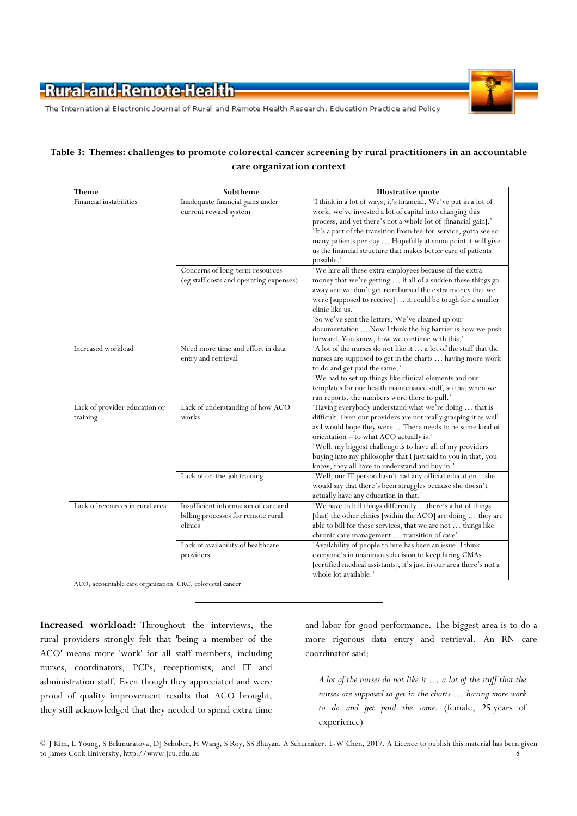

The International Electronic Journal of Rural and Remote Health Research, Education Practice and Policy

#### Table 3: Themes: challenges to promote colorectal cancer screening by rural practitioners in an accountable care organization context

| Theme                                     | Subtheme                                                                              | Illustrative quote                                                                                                                                                                                                                                                                                                                                                                                                                        |
|-------------------------------------------|---------------------------------------------------------------------------------------|-------------------------------------------------------------------------------------------------------------------------------------------------------------------------------------------------------------------------------------------------------------------------------------------------------------------------------------------------------------------------------------------------------------------------------------------|
| Financial instabilities                   | Inadequate financial gains under<br>current reward system                             | 'I think in a lot of ways, it's financial. We've put in a lot of<br>work, we've invested a lot of capital into changing this<br>process, and yet there's not a whole lot of [financial gain].'<br>'It's a part of the transition from fee-for-service, gotta see so<br>many patients per day  Hopefully at some point it will give<br>us the financial structure that makes better care of patients<br>possible.'                         |
|                                           | Concerns of long-term resources<br>(eg staff costs and operating expenses)            | 'We hire all these extra employees because of the extra<br>money that we're getting  if all of a sudden these things go<br>away and we don't get reimbursed the extra money that we<br>were [supposed to receive]  it could be tough for a smaller<br>clinic like us.'<br>'So we've sent the letters. We've cleaned up our<br>documentation  Now I think the big barrier is how we push<br>forward. You know, how we continue with this.' |
| Increased workload                        | Need more time and effort in data<br>entry and retrieval                              | 'A lot of the nurses do not like it  a lot of the stuff that the<br>nurses are supposed to get in the charts  having more work<br>to do and get paid the same.'<br>'We had to set up things like clinical elements and our<br>templates for our health maintenance stuff, so that when we<br>ran reports, the numbers were there to pull.'                                                                                                |
| Lack of provider education or<br>training | Lack of understanding of how ACO<br>works                                             | 'Having everybody understand what we're doing  that is<br>difficult. Even our providers are not really grasping it as well<br>as I would hope they were  There needs to be some kind of<br>orientation - to what ACO actually is.'<br>'Well, my biggest challenge is to have all of my providers<br>buying into my philosophy that I just said to you in that, you<br>know, they all have to understand and buy in.'                      |
|                                           | Lack of on-the-job training                                                           | 'Well, our IT person hasn't had any official educationshe<br>would say that there's been struggles because she doesn't<br>actually have any education in that.'                                                                                                                                                                                                                                                                           |
| Lack of resources in rural area           | Insufficient information of care and<br>billing processes for remote rural<br>clinics | 'We have to bill things differently  there's a lot of things<br>[that] the other clinics [within the ACO] are doing  they are<br>able to bill for those services, that we are not  things like<br>chronic care management  transition of care'                                                                                                                                                                                            |
|                                           | Lack of availability of healthcare<br>providers                                       | 'Availability of people to hire has been an issue. I think<br>everyone's in unanimous decision to keep hiring CMAs<br>[certified medical assistants], it's just in our area there's not a<br>whole lot available.'                                                                                                                                                                                                                        |

ACO, accountable care organization. CRC, colorectal cancer.

Increased workload: Throughout the interviews, the rural providers strongly felt that 'being a member of the ACO' means more 'work' for all staff members, including nurses, coordinators, PCPs, receptionists, and IT and administration staff. Even though they appreciated and were proud of quality improvement results that ACO brought, they still acknowledged that they needed to spend extra time and labor for good performance. The biggest area is to do a more rigorous data entry and retrieval. An RN care coordinator said:

A lot of the nurses do not like it … a lot of the stuff that the nurses are supposed to get in the charts … having more work to do and get paid the same. (female, 25 years of experience)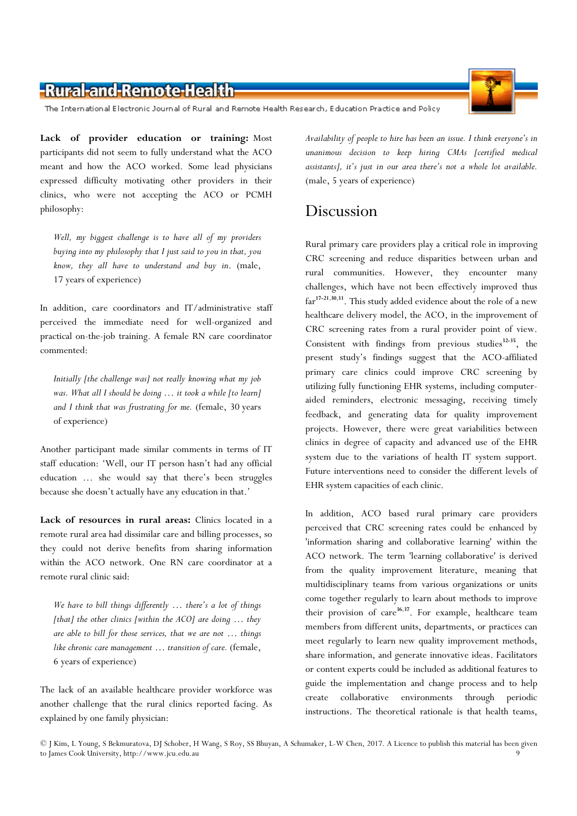

The International Electronic Journal of Rural and Remote Health Research, Education Practice and Policy

Lack of provider education or training: Most participants did not seem to fully understand what the ACO meant and how the ACO worked. Some lead physicians expressed difficulty motivating other providers in their clinics, who were not accepting the ACO or PCMH philosophy:

Well, my biggest challenge is to have all of my providers buying into my philosophy that I just said to you in that, you know, they all have to understand and buy in. (male, 17 years of experience)

In addition, care coordinators and IT/administrative staff perceived the immediate need for well-organized and practical on-the-job training. A female RN care coordinator commented:

Initially [the challenge was] not really knowing what my job was. What all I should be doing … it took a while [to learn] and I think that was frustrating for me. (female, 30 years of experience)

Another participant made similar comments in terms of IT staff education: 'Well, our IT person hasn't had any official education … she would say that there's been struggles because she doesn't actually have any education in that.'

Lack of resources in rural areas: Clinics located in a remote rural area had dissimilar care and billing processes, so they could not derive benefits from sharing information within the ACO network. One RN care coordinator at a remote rural clinic said:

We have to bill things differently … there's a lot of things [that] the other clinics [within the ACO] are doing ... they are able to bill for those services, that we are not … things like chronic care management … transition of care. (female, 6 years of experience)

The lack of an available healthcare provider workforce was another challenge that the rural clinics reported facing. As explained by one family physician:

Availability of people to hire has been an issue. I think everyone's in unanimous decision to keep hiring CMAs [certified medical assistants], it's just in our area there's not a whole lot available. (male, 5 years of experience)

## Discussion

Rural primary care providers play a critical role in improving CRC screening and reduce disparities between urban and rural communities. However, they encounter many challenges, which have not been effectively improved thus far<sup>17-21,30,31</sup>. This study added evidence about the role of a new healthcare delivery model, the ACO, in the improvement of CRC screening rates from a rural provider point of view. Consistent with findings from previous studies $32-35$ , the present study's findings suggest that the ACO-affiliated primary care clinics could improve CRC screening by utilizing fully functioning EHR systems, including computeraided reminders, electronic messaging, receiving timely feedback, and generating data for quality improvement projects. However, there were great variabilities between clinics in degree of capacity and advanced use of the EHR system due to the variations of health IT system support. Future interventions need to consider the different levels of EHR system capacities of each clinic.

In addition, ACO based rural primary care providers perceived that CRC screening rates could be enhanced by 'information sharing and collaborative learning' within the ACO network. The term 'learning collaborative' is derived from the quality improvement literature, meaning that multidisciplinary teams from various organizations or units come together regularly to learn about methods to improve their provision of care<sup>36,37</sup>. For example, healthcare team members from different units, departments, or practices can meet regularly to learn new quality improvement methods, share information, and generate innovative ideas. Facilitators or content experts could be included as additional features to guide the implementation and change process and to help create collaborative environments through periodic instructions. The theoretical rationale is that health teams,

<sup>©</sup> J Kim, L Young, S Bekmuratova, DJ Schober, H Wang, S Roy, SS Bhuyan, A Schumaker, L-W Chen, 2017. A Licence to publish this material has been given to James Cook University, http://www.jcu.edu.au 9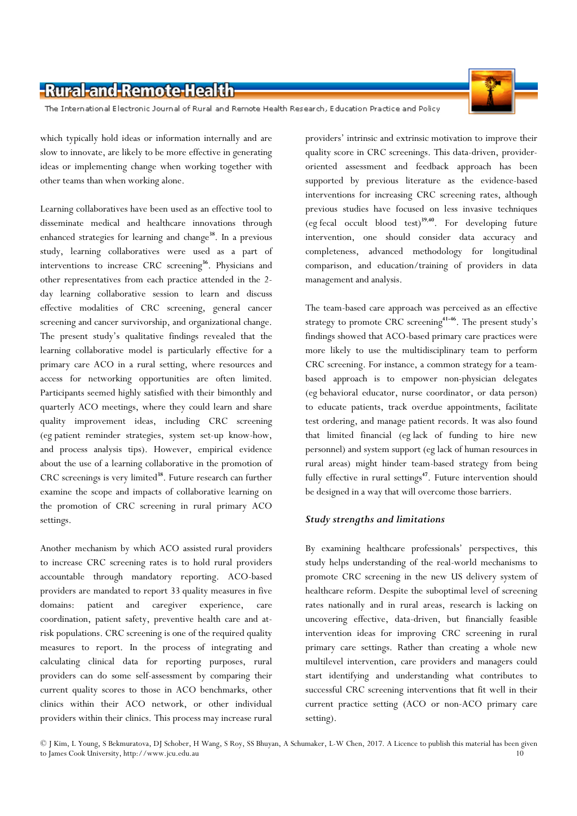The International Electronic Journal of Rural and Remote Health Research, Education Practice and Policy

which typically hold ideas or information internally and are slow to innovate, are likely to be more effective in generating ideas or implementing change when working together with other teams than when working alone.

Learning collaboratives have been used as an effective tool to disseminate medical and healthcare innovations through enhanced strategies for learning and change<sup>38</sup>. In a previous study, learning collaboratives were used as a part of interventions to increase CRC screening<sup>36</sup>. Physicians and other representatives from each practice attended in the 2 day learning collaborative session to learn and discuss effective modalities of CRC screening, general cancer screening and cancer survivorship, and organizational change. The present study's qualitative findings revealed that the learning collaborative model is particularly effective for a primary care ACO in a rural setting, where resources and access for networking opportunities are often limited. Participants seemed highly satisfied with their bimonthly and quarterly ACO meetings, where they could learn and share quality improvement ideas, including CRC screening (eg patient reminder strategies, system set-up know-how, and process analysis tips). However, empirical evidence about the use of a learning collaborative in the promotion of CRC screenings is very limited<sup>38</sup>. Future research can further examine the scope and impacts of collaborative learning on the promotion of CRC screening in rural primary ACO settings.

Another mechanism by which ACO assisted rural providers to increase CRC screening rates is to hold rural providers accountable through mandatory reporting. ACO-based providers are mandated to report 33 quality measures in five domains: patient and caregiver experience, care coordination, patient safety, preventive health care and atrisk populations. CRC screening is one of the required quality measures to report. In the process of integrating and calculating clinical data for reporting purposes, rural providers can do some self-assessment by comparing their current quality scores to those in ACO benchmarks, other clinics within their ACO network, or other individual providers within their clinics. This process may increase rural providers' intrinsic and extrinsic motivation to improve their quality score in CRC screenings. This data-driven, provideroriented assessment and feedback approach has been supported by previous literature as the evidence-based interventions for increasing CRC screening rates, although previous studies have focused on less invasive techniques (eg fecal occult blood test) $39,40$ . For developing future intervention, one should consider data accuracy and completeness, advanced methodology for longitudinal comparison, and education/training of providers in data management and analysis.

The team-based care approach was perceived as an effective strategy to promote CRC screening<sup>41-46</sup>. The present study's findings showed that ACO-based primary care practices were more likely to use the multidisciplinary team to perform CRC screening. For instance, a common strategy for a teambased approach is to empower non-physician delegates (eg behavioral educator, nurse coordinator, or data person) to educate patients, track overdue appointments, facilitate test ordering, and manage patient records. It was also found that limited financial (eg lack of funding to hire new personnel) and system support (eg lack of human resources in rural areas) might hinder team-based strategy from being fully effective in rural settings<sup>47</sup>. Future intervention should be designed in a way that will overcome those barriers.

#### Study strengths and limitations

By examining healthcare professionals' perspectives, this study helps understanding of the real-world mechanisms to promote CRC screening in the new US delivery system of healthcare reform. Despite the suboptimal level of screening rates nationally and in rural areas, research is lacking on uncovering effective, data-driven, but financially feasible intervention ideas for improving CRC screening in rural primary care settings. Rather than creating a whole new multilevel intervention, care providers and managers could start identifying and understanding what contributes to successful CRC screening interventions that fit well in their current practice setting (ACO or non-ACO primary care setting).

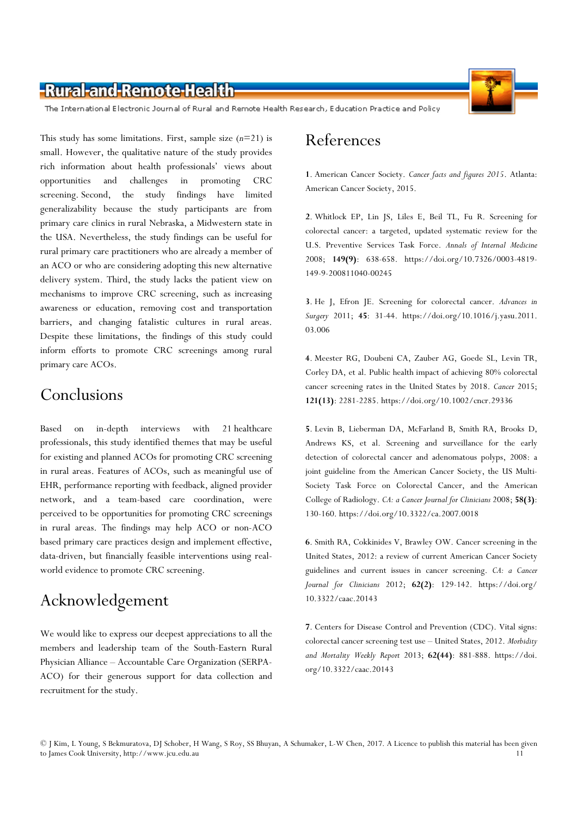

The International Electronic Journal of Rural and Remote Health Research, Education Practice and Policy

This study has some limitations. First, sample size  $(n=21)$  is small. However, the qualitative nature of the study provides rich information about health professionals' views about opportunities and challenges in promoting CRC screening. Second, the study findings have limited generalizability because the study participants are from primary care clinics in rural Nebraska, a Midwestern state in the USA. Nevertheless, the study findings can be useful for rural primary care practitioners who are already a member of an ACO or who are considering adopting this new alternative delivery system. Third, the study lacks the patient view on mechanisms to improve CRC screening, such as increasing awareness or education, removing cost and transportation barriers, and changing fatalistic cultures in rural areas. Despite these limitations, the findings of this study could inform efforts to promote CRC screenings among rural primary care ACOs.

### Conclusions

Based on in-depth interviews with 21 healthcare professionals, this study identified themes that may be useful for existing and planned ACOs for promoting CRC screening in rural areas. Features of ACOs, such as meaningful use of EHR, performance reporting with feedback, aligned provider network, and a team-based care coordination, were perceived to be opportunities for promoting CRC screenings in rural areas. The findings may help ACO or non-ACO based primary care practices design and implement effective, data-driven, but financially feasible interventions using realworld evidence to promote CRC screening.

# Acknowledgement

We would like to express our deepest appreciations to all the members and leadership team of the South-Eastern Rural Physician Alliance – Accountable Care Organization (SERPA-ACO) for their generous support for data collection and recruitment for the study.

# References

1. American Cancer Society. Cancer facts and figures 2015. Atlanta: American Cancer Society, 2015.

2. Whitlock EP, Lin JS, Liles E, Beil TL, Fu R. Screening for colorectal cancer: a targeted, updated systematic review for the U.S. Preventive Services Task Force. Annals of Internal Medicine 2008; 149(9): 638-658. https://doi.org/10.7326/0003-4819- 149-9-200811040-00245

3. He J, Efron JE. Screening for colorectal cancer. Advances in Surgery 2011; 45: 31-44. https://doi.org/10.1016/j.yasu.2011. 03.006

4. Meester RG, Doubeni CA, Zauber AG, Goede SL, Levin TR, Corley DA, et al. Public health impact of achieving 80% colorectal cancer screening rates in the United States by 2018. Cancer 2015; 121(13): 2281-2285. https://doi.org/10.1002/cncr.29336

5. Levin B, Lieberman DA, McFarland B, Smith RA, Brooks D, Andrews KS, et al. Screening and surveillance for the early detection of colorectal cancer and adenomatous polyps, 2008: a joint guideline from the American Cancer Society, the US Multi-Society Task Force on Colorectal Cancer, and the American College of Radiology. CA: a Cancer Journal for Clinicians 2008; 58(3): 130-160. https://doi.org/10.3322/ca.2007.0018

6. Smith RA, Cokkinides V, Brawley OW. Cancer screening in the United States, 2012: a review of current American Cancer Society guidelines and current issues in cancer screening. CA: a Cancer Journal for Clinicians 2012; 62(2): 129-142. https://doi.org/ 10.3322/caac.20143

7. Centers for Disease Control and Prevention (CDC). Vital signs: colorectal cancer screening test use – United States, 2012. Morbidity and Mortality Weekly Report 2013; 62(44): 881-888. https://doi. org/10.3322/caac.20143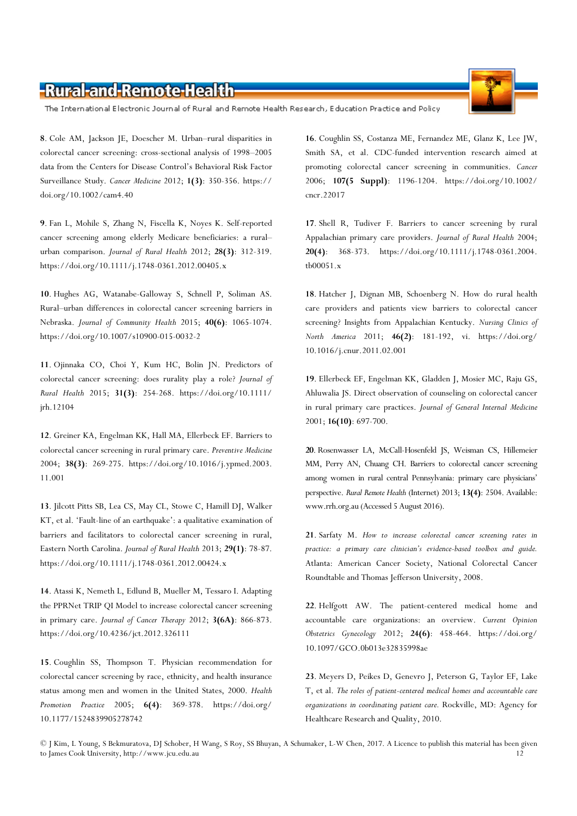The International Electronic Journal of Rural and Remote Health Research, Education Practice and Policy

8. Cole AM, Jackson JE, Doescher M. Urban–rural disparities in colorectal cancer screening: cross-sectional analysis of 1998–2005 data from the Centers for Disease Control's Behavioral Risk Factor Surveillance Study. Cancer Medicine 2012; 1(3): 350-356. https:// doi.org/10.1002/cam4.40

9. Fan L, Mohile S, Zhang N, Fiscella K, Noyes K. Self-reported cancer screening among elderly Medicare beneficiaries: a rural– urban comparison. Journal of Rural Health 2012; 28(3): 312-319. https://doi.org/10.1111/j.1748-0361.2012.00405.x

10. Hughes AG, Watanabe-Galloway S, Schnell P, Soliman AS. Rural–urban differences in colorectal cancer screening barriers in Nebraska. Journal of Community Health 2015; 40(6): 1065-1074. https://doi.org/10.1007/s10900-015-0032-2

11. Ojinnaka CO, Choi Y, Kum HC, Bolin JN. Predictors of colorectal cancer screening: does rurality play a role? Journal of Rural Health 2015; 31(3): 254-268. https://doi.org/10.1111/ jrh.12104

12. Greiner KA, Engelman KK, Hall MA, Ellerbeck EF. Barriers to colorectal cancer screening in rural primary care. Preventive Medicine 2004; 38(3): 269-275. https://doi.org/10.1016/j.ypmed.2003. 11.001

13. Jilcott Pitts SB, Lea CS, May CL, Stowe C, Hamill DJ, Walker KT, et al. 'Fault-line of an earthquake': a qualitative examination of barriers and facilitators to colorectal cancer screening in rural, Eastern North Carolina. Journal of Rural Health 2013; 29(1): 78-87. https://doi.org/10.1111/j.1748-0361.2012.00424.x

14. Atassi K, Nemeth L, Edlund B, Mueller M, Tessaro I. Adapting the PPRNet TRIP QI Model to increase colorectal cancer screening in primary care. Journal of Cancer Therapy 2012; 3(6A): 866-873. https://doi.org/10.4236/jct.2012.326111

15. Coughlin SS, Thompson T. Physician recommendation for colorectal cancer screening by race, ethnicity, and health insurance status among men and women in the United States, 2000. Health Promotion Practice 2005; 6(4): 369-378. https://doi.org/ 10.1177/1524839905278742

16. Coughlin SS, Costanza ME, Fernandez ME, Glanz K, Lee JW, Smith SA, et al. CDC-funded intervention research aimed at promoting colorectal cancer screening in communities. Cancer 2006; 107(5 Suppl): 1196-1204. https://doi.org/10.1002/ cncr.22017

17. Shell R, Tudiver F. Barriers to cancer screening by rural Appalachian primary care providers. Journal of Rural Health 2004; 20(4): 368-373. https://doi.org/10.1111/j.1748-0361.2004. tb00051.x

18. Hatcher J, Dignan MB, Schoenberg N. How do rural health care providers and patients view barriers to colorectal cancer screening? Insights from Appalachian Kentucky. Nursing Clinics of North America 2011; 46(2): 181-192, vi. https://doi.org/ 10.1016/j.cnur.2011.02.001

19. Ellerbeck EF, Engelman KK, Gladden J, Mosier MC, Raju GS, Ahluwalia JS. Direct observation of counseling on colorectal cancer in rural primary care practices. Journal of General Internal Medicine 2001; 16(10): 697-700.

20. Rosenwasser LA, McCall-Hosenfeld JS, Weisman CS, Hillemeier MM, Perry AN, Chuang CH. Barriers to colorectal cancer screening among women in rural central Pennsylvania: primary care physicians' perspective. Rural Remote Health (Internet) 2013; 13(4): 2504. Available: www.rrh.org.au (Accessed 5 August 2016).

21. Sarfaty M. How to increase colorectal cancer screening rates in practice: a primary care clinician's evidence-based toolbox and guide. Atlanta: American Cancer Society, National Colorectal Cancer Roundtable and Thomas Jefferson University, 2008.

22. Helfgott AW. The patient-centered medical home and accountable care organizations: an overview. Current Opinion Obstetrics Gynecology 2012; 24(6): 458-464. https://doi.org/ 10.1097/GCO.0b013e32835998ae

23. Meyers D, Peikes D, Genevro J, Peterson G, Taylor EF, Lake T, et al. The roles of patient-centered medical homes and accountable care organizations in coordinating patient care. Rockville, MD: Agency for Healthcare Research and Quality, 2010.



<sup>©</sup> J Kim, L Young, S Bekmuratova, DJ Schober, H Wang, S Roy, SS Bhuyan, A Schumaker, L-W Chen, 2017. A Licence to publish this material has been given to James Cook University, http://www.jcu.edu.au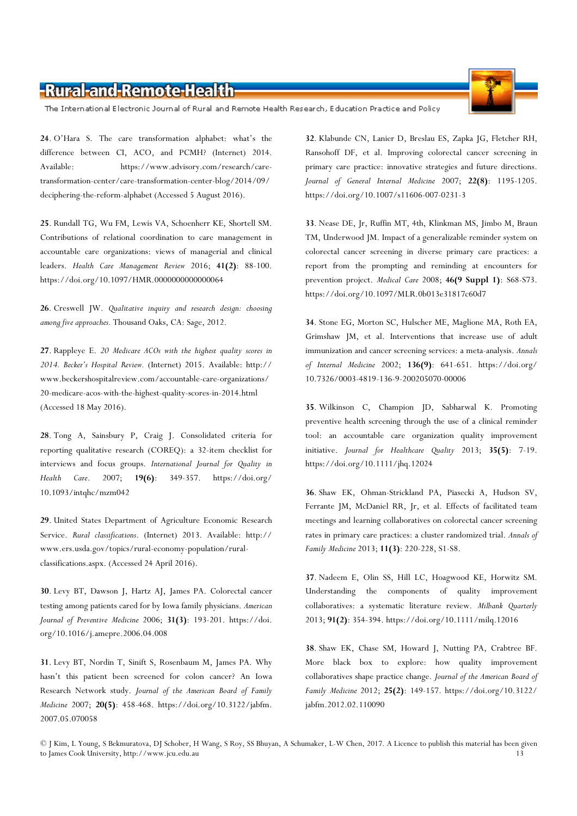The International Electronic Journal of Rural and Remote Health Research, Education Practice and Policy

24. O'Hara S. The care transformation alphabet: what's the difference between CI, ACO, and PCMH? (Internet) 2014. Available: https://www.advisory.com/research/caretransformation-center/care-transformation-center-blog/2014/09/ deciphering-the-reform-alphabet (Accessed 5 August 2016).

25. Rundall TG, Wu FM, Lewis VA, Schoenherr KE, Shortell SM. Contributions of relational coordination to care management in accountable care organizations: views of managerial and clinical leaders. Health Care Management Review 2016; 41(2): 88-100. https://doi.org/10.1097/HMR.0000000000000064

26. Creswell JW. Qualitative inquiry and research design: choosing among five approaches. Thousand Oaks, CA: Sage, 2012.

27. Rappleye E. 20 Medicare ACOs with the highest quality scores in 2014. Becker's Hospital Review. (Internet) 2015. Available: http:// www.beckershospitalreview.com/accountable-care-organizations/ 20-medicare-acos-with-the-highest-quality-scores-in-2014.html (Accessed 18 May 2016).

28. Tong A, Sainsbury P, Craig J. Consolidated criteria for reporting qualitative research (COREQ): a 32-item checklist for interviews and focus groups. International Journal for Quality in Health Care. 2007; 19(6): 349-357. https://doi.org/ 10.1093/intqhc/mzm042

29. United States Department of Agriculture Economic Research Service. Rural classifications. (Internet) 2013. Available: http:// www.ers.usda.gov/topics/rural-economy-population/ruralclassifications.aspx. (Accessed 24 April 2016).

30. Levy BT, Dawson J, Hartz AJ, James PA. Colorectal cancer testing among patients cared for by Iowa family physicians. American Journal of Preventive Medicine 2006; 31(3): 193-201. https://doi. org/10.1016/j.amepre.2006.04.008

31. Levy BT, Nordin T, Sinift S, Rosenbaum M, James PA. Why hasn't this patient been screened for colon cancer? An Iowa Research Network study. Journal of the American Board of Family Medicine 2007; 20(5): 458-468. https://doi.org/10.3122/jabfm. 2007.05.070058

32. Klabunde CN, Lanier D, Breslau ES, Zapka JG, Fletcher RH, Ransohoff DF, et al. Improving colorectal cancer screening in primary care practice: innovative strategies and future directions. Journal of General Internal Medicine 2007; 22(8): 1195-1205. https://doi.org/10.1007/s11606-007-0231-3

33. Nease DE, Jr, Ruffin MT, 4th, Klinkman MS, Jimbo M, Braun TM, Underwood JM. Impact of a generalizable reminder system on colorectal cancer screening in diverse primary care practices: a report from the prompting and reminding at encounters for prevention project. Medical Care 2008; 46(9 Suppl 1): S68-S73. https://doi.org/10.1097/MLR.0b013e31817c60d7

34. Stone EG, Morton SC, Hulscher ME, Maglione MA, Roth EA, Grimshaw JM, et al. Interventions that increase use of adult immunization and cancer screening services: a meta-analysis. Annals of Internal Medicine 2002; 136(9): 641-651. https://doi.org/ 10.7326/0003-4819-136-9-200205070-00006

35. Wilkinson C, Champion JD, Sabharwal K. Promoting preventive health screening through the use of a clinical reminder tool: an accountable care organization quality improvement initiative. Journal for Healthcare Quality 2013; 35(5): 7-19. https://doi.org/10.1111/jhq.12024

36. Shaw EK, Ohman-Strickland PA, Piasecki A, Hudson SV, Ferrante JM, McDaniel RR, Jr, et al. Effects of facilitated team meetings and learning collaboratives on colorectal cancer screening rates in primary care practices: a cluster randomized trial. Annals of Family Medicine 2013; 11(3): 220-228, S1-S8.

37. Nadeem E, Olin SS, Hill LC, Hoagwood KE, Horwitz SM. Understanding the components of quality improvement collaboratives: a systematic literature review. Milbank Quarterly 2013; 91(2): 354-394. https://doi.org/10.1111/milq.12016

38. Shaw EK, Chase SM, Howard J, Nutting PA, Crabtree BF. More black box to explore: how quality improvement collaboratives shape practice change. Journal of the American Board of Family Medicine 2012; 25(2): 149-157. https://doi.org/10.3122/ jabfm.2012.02.110090



<sup>©</sup> J Kim, L Young, S Bekmuratova, DJ Schober, H Wang, S Roy, SS Bhuyan, A Schumaker, L-W Chen, 2017. A Licence to publish this material has been given to James Cook University, http://www.jcu.edu.au 13